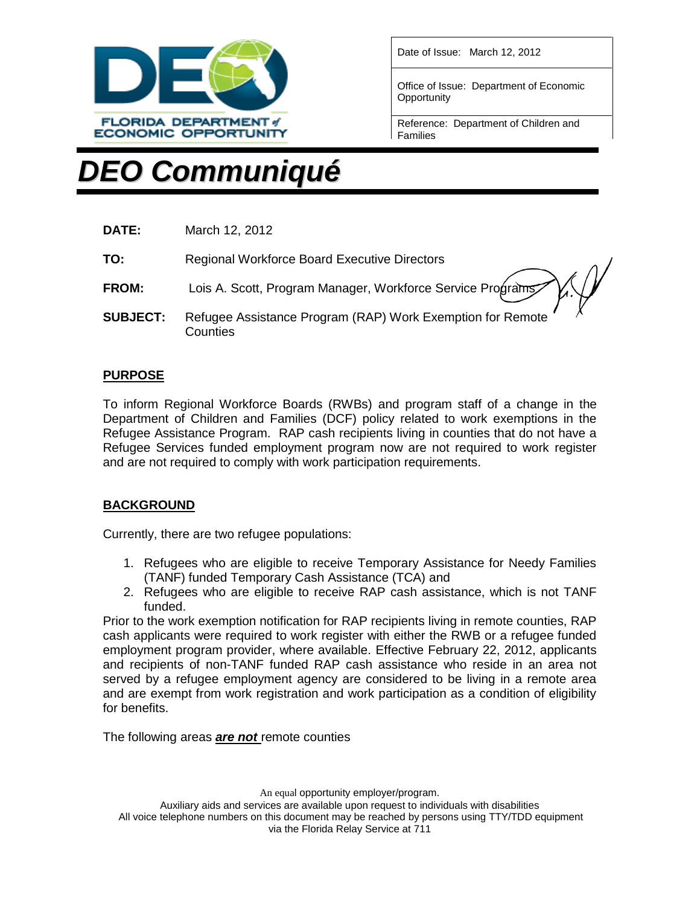

Date of Issue: March 12, 2012

Office of Issue: Department of Economic **Opportunity** 

Reference: Department of Children and Families

# *DEO Communiqué*

| DATE: | March 12, 2012 |
|-------|----------------|
|-------|----------------|

**TO:** Regional Workforce Board Executive Directors

- **FROM:** Lois A. Scott, Program Manager, Workforce Service Program
- **SUBJECT:** Refugee Assistance Program (RAP) Work Exemption for Remote **Counties**

## **PURPOSE**

To inform Regional Workforce Boards (RWBs) and program staff of a change in the Department of Children and Families (DCF) policy related to work exemptions in the Refugee Assistance Program. RAP cash recipients living in counties that do not have a Refugee Services funded employment program now are not required to work register and are not required to comply with work participation requirements.

## **BACKGROUND**

Currently, there are two refugee populations:

- 1. Refugees who are eligible to receive Temporary Assistance for Needy Families (TANF) funded Temporary Cash Assistance (TCA) and
- 2. Refugees who are eligible to receive RAP cash assistance, which is not TANF funded.

Prior to the work exemption notification for RAP recipients living in remote counties, RAP cash applicants were required to work register with either the RWB or a refugee funded employment program provider, where available. Effective February 22, 2012, applicants and recipients of non-TANF funded RAP cash assistance who reside in an area not served by a refugee employment agency are considered to be living in a remote area and are exempt from work registration and work participation as a condition of eligibility for benefits.

The following areas *are not* remote counties

An equal opportunity employer/program.

Auxiliary aids and services are available upon request to individuals with disabilities All voice telephone numbers on this document may be reached by persons using TTY/TDD equipment via the Florida Relay Service at 711